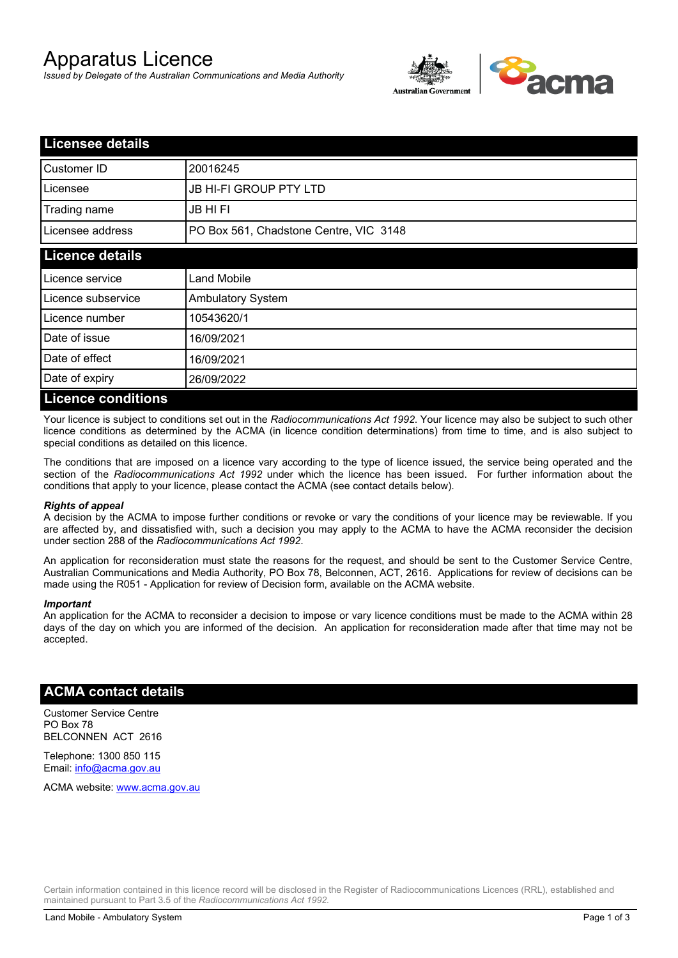# Apparatus Licence

*Issued by Delegate of the Australian Communications and Media Authority*



| <b>Licensee details</b>   |                                        |  |  |
|---------------------------|----------------------------------------|--|--|
| Customer ID               | 20016245                               |  |  |
| Licensee                  | <b>JB HI-FI GROUP PTY LTD</b>          |  |  |
| Trading name              | <b>JB HIFI</b>                         |  |  |
| Licensee address          | PO Box 561, Chadstone Centre, VIC 3148 |  |  |
| <b>Licence details</b>    |                                        |  |  |
| Licence service           | <b>Land Mobile</b>                     |  |  |
| Licence subservice        | <b>Ambulatory System</b>               |  |  |
| Licence number            | 10543620/1                             |  |  |
| Date of issue             | 16/09/2021                             |  |  |
| Date of effect            | 16/09/2021                             |  |  |
| Date of expiry            | 26/09/2022                             |  |  |
| <b>Licence conditions</b> |                                        |  |  |

Your licence is subject to conditions set out in the *Radiocommunications Act 1992*. Your licence may also be subject to such other licence conditions as determined by the ACMA (in licence condition determinations) from time to time, and is also subject to special conditions as detailed on this licence.

The conditions that are imposed on a licence vary according to the type of licence issued, the service being operated and the section of the *Radiocommunications Act 1992* under which the licence has been issued. For further information about the conditions that apply to your licence, please contact the ACMA (see contact details below).

#### *Rights of appeal*

A decision by the ACMA to impose further conditions or revoke or vary the conditions of your licence may be reviewable. If you are affected by, and dissatisfied with, such a decision you may apply to the ACMA to have the ACMA reconsider the decision under section 288 of the *Radiocommunications Act 1992*.

An application for reconsideration must state the reasons for the request, and should be sent to the Customer Service Centre, Australian Communications and Media Authority, PO Box 78, Belconnen, ACT, 2616. Applications for review of decisions can be made using the R051 - Application for review of Decision form, available on the ACMA website.

#### *Important*

An application for the ACMA to reconsider a decision to impose or vary licence conditions must be made to the ACMA within 28 days of the day on which you are informed of the decision. An application for reconsideration made after that time may not be accepted.

### **ACMA contact details**

Customer Service Centre PO Box 78 BELCONNEN ACT 2616

Telephone: 1300 850 115 Email: info@acma.gov.au

ACMA website: www.acma.gov.au

Certain information contained in this licence record will be disclosed in the Register of Radiocommunications Licences (RRL), established and maintained pursuant to Part 3.5 of the *Radiocommunications Act 1992.*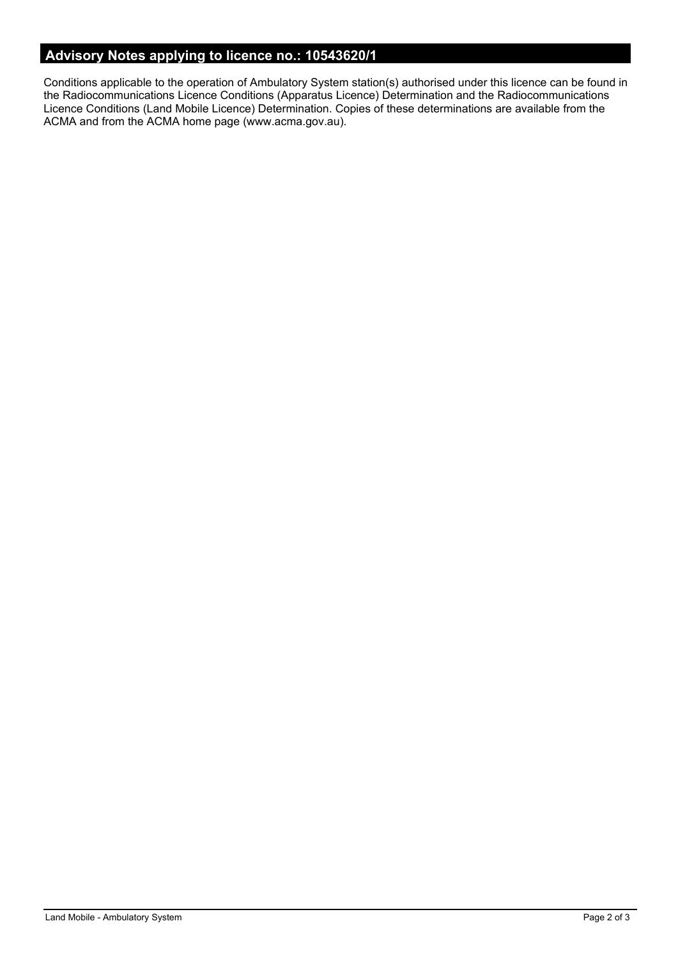# **Advisory Notes applying to licence no.: 10543620/1**

Conditions applicable to the operation of Ambulatory System station(s) authorised under this licence can be found in the Radiocommunications Licence Conditions (Apparatus Licence) Determination and the Radiocommunications Licence Conditions (Land Mobile Licence) Determination. Copies of these determinations are available from the ACMA and from the ACMA home page (www.acma.gov.au).